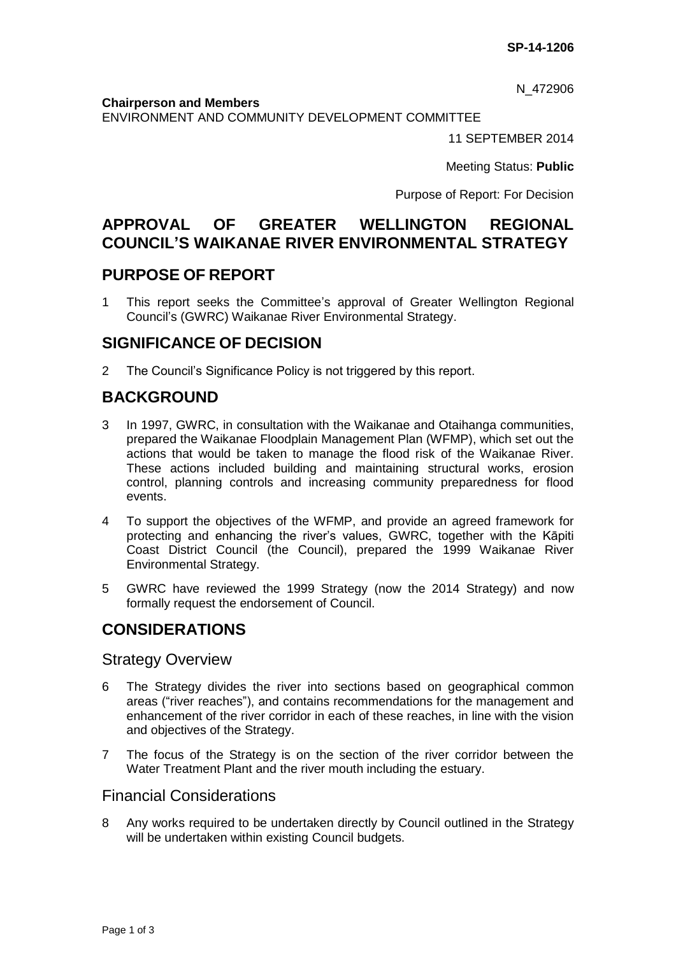N\_472906

#### **Chairperson and Members**

ENVIRONMENT AND COMMUNITY DEVELOPMENT COMMITTEE

11 SEPTEMBER 2014

Meeting Status: **Public**

Purpose of Report: For Decision

# **APPROVAL OF GREATER WELLINGTON REGIONAL COUNCIL'S WAIKANAE RIVER ENVIRONMENTAL STRATEGY**

### **PURPOSE OF REPORT**

1 This report seeks the Committee's approval of Greater Wellington Regional Council's (GWRC) Waikanae River Environmental Strategy.

## **SIGNIFICANCE OF DECISION**

2 The Council's Significance Policy is not triggered by this report.

# **BACKGROUND**

- 3 In 1997, GWRC, in consultation with the Waikanae and Otaihanga communities, prepared the Waikanae Floodplain Management Plan (WFMP), which set out the actions that would be taken to manage the flood risk of the Waikanae River. These actions included building and maintaining structural works, erosion control, planning controls and increasing community preparedness for flood events.
- 4 To support the objectives of the WFMP, and provide an agreed framework for protecting and enhancing the river's values, GWRC, together with the Kāpiti Coast District Council (the Council), prepared the 1999 Waikanae River Environmental Strategy.
- 5 GWRC have reviewed the 1999 Strategy (now the 2014 Strategy) and now formally request the endorsement of Council.

## **CONSIDERATIONS**

### Strategy Overview

- 6 The Strategy divides the river into sections based on geographical common areas ("river reaches"), and contains recommendations for the management and enhancement of the river corridor in each of these reaches, in line with the vision and objectives of the Strategy.
- 7 The focus of the Strategy is on the section of the river corridor between the Water Treatment Plant and the river mouth including the estuary.

### Financial Considerations

8 Any works required to be undertaken directly by Council outlined in the Strategy will be undertaken within existing Council budgets.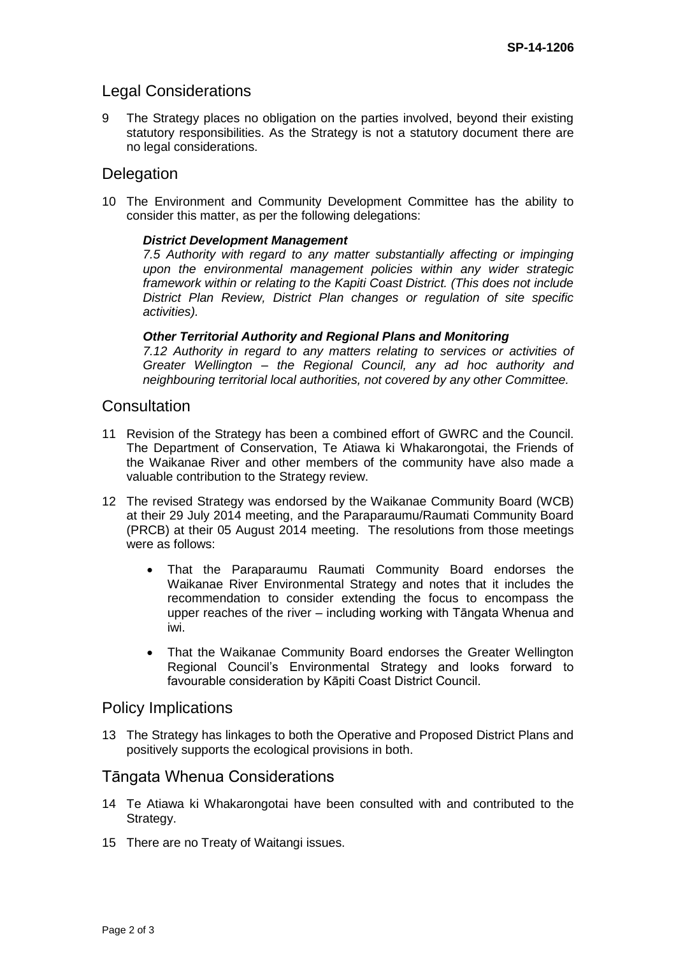### Legal Considerations

9 The Strategy places no obligation on the parties involved, beyond their existing statutory responsibilities. As the Strategy is not a statutory document there are no legal considerations.

### **Delegation**

10 The Environment and Community Development Committee has the ability to consider this matter, as per the following delegations:

#### *District Development Management*

*7.5 Authority with regard to any matter substantially affecting or impinging upon the environmental management policies within any wider strategic framework within or relating to the Kapiti Coast District. (This does not include District Plan Review, District Plan changes or regulation of site specific activities).*

#### *Other Territorial Authority and Regional Plans and Monitoring*

*7.12 Authority in regard to any matters relating to services or activities of Greater Wellington – the Regional Council, any ad hoc authority and neighbouring territorial local authorities, not covered by any other Committee.*

#### **Consultation**

- 11 Revision of the Strategy has been a combined effort of GWRC and the Council. The Department of Conservation, Te Atiawa ki Whakarongotai, the Friends of the Waikanae River and other members of the community have also made a valuable contribution to the Strategy review.
- 12 The revised Strategy was endorsed by the Waikanae Community Board (WCB) at their 29 July 2014 meeting, and the Paraparaumu/Raumati Community Board (PRCB) at their 05 August 2014 meeting. The resolutions from those meetings were as follows:
	- That the Paraparaumu Raumati Community Board endorses the Waikanae River Environmental Strategy and notes that it includes the recommendation to consider extending the focus to encompass the upper reaches of the river – including working with Tāngata Whenua and iwi.
	- That the Waikanae Community Board endorses the Greater Wellington Regional Council's Environmental Strategy and looks forward to favourable consideration by Kāpiti Coast District Council.

#### Policy Implications

13 The Strategy has linkages to both the Operative and Proposed District Plans and positively supports the ecological provisions in both.

### Tāngata Whenua Considerations

- 14 Te Atiawa ki Whakarongotai have been consulted with and contributed to the Strategy.
- 15 There are no Treaty of Waitangi issues.